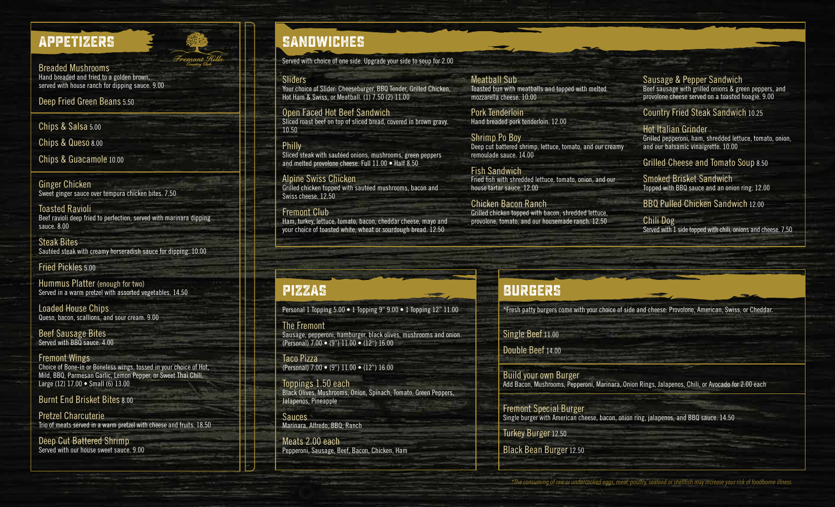### **APPETIZERS**

Breaded Mushrooms Hand breaded and fried to a golden brown, served with house ranch for dipping sauce. 9.00 emont

Deep Fried Green Beans 5.50

Chips & Salsa 5.00

Chips & Queso 8.00

Chips & Guacamole 10.00

Ginger Chicken Sweet ginger sauce over tempura chicken bites. 7.50

Toasted Ravioli Beef ravioli deep fried to perfection, served with marinara dipping sauce. 8.00

Steak Bites Sautéed steak with creamy horseradish sauce for dipping. 10.00

Fried Pickles 5.00

Hummus Platter (enough for two) Served in a warm pretzel with assorted vegetables. 14.50

Loaded House Chips Queso, bacon, scallions, and sour cream. 9.00

Beef Sausage Bites Served with BBQ sauce. 4.00

Fremont Wings Choice of Bone-in or Boneless wings, tossed in your choice of Hot, Mild, BBQ, Parmesan Garlic, Lemon Pepper, or Sweet Thai Chili. Large (12) 17.00 • Small (6) 13.00

Burnt End Brisket Bites 8.00

Pretzel Charcuterie Trio of meats served in a warm pretzel with cheese and fruits. 18.50

Deep Cut Battered Shrimp Served with our house sweet sauce. 9.00

# **SANDWICHES**

Served with choice of one side. Upgrade your side to soup for 2.00

**Sliders** 

Your choice of Slider: Cheeseburger, BBQ Tender, Grilled Chicken, Hot Ham & Swiss, or Meatball. (1) 7.50 (2) 11.00

Open Faced Hot Beef Sandwich Sliced roast beef on top of sliced bread, covered in brown gravy. 10.50

Philly Sliced steak with sautéed onions, mushrooms, green peppers and melted provolone cheese. Full 11.00 • Half 8.50

Alpine Swiss Chicken Grilled chicken topped with sautéed mushrooms, bacon and Swiss cheese. 12.50

Fremont Club Ham, turkey, lettuce, tomato, bacon, cheddar cheese, mayo and your choice of toasted white, wheat or sourdough bread. 12.50

Meatball Sub Toasted bun with meatballs and topped with melted mozzarella cheese. 10.00

Pork Tenderloin Hand breaded pork tenderloin. 12.00

Shrimp Po Boy Deep cut battered shrimp, lettuce, tomato, and our creamy remoulade sauce. 14.00

Fish Sandwich Fried fish with shredded lettuce, tomato, onion, and our house tartar sauce. 12.00

Chicken Bacon Ranch Grilled chicken topped with bacon, shredded lettuce, provolone, tomato, and our housemade ranch. 12.50 Sausage & Pepper Sandwich Beef sausage with grilled onions & green peppers, and provolone cheese served on a toasted hoagie. 9.00

### Country Fried Steak Sandwich 10.25

Hot Italian Grinder Grilled pepperoni, ham, shredded lettuce, tomato, onion, and our balsamic vinaigrette. 10.00

Grilled Cheese and Tomato Soup 8.50

Smoked Brisket Sandwich Topped with BBQ sauce and an onion ring. 12.00

BBQ Pulled Chicken Sandwich 12.00

Chili Dog Served with 1 side topped with chili, onions and cheese. 7.50

### **PIZZAS**

Personal 1 Topping 5.00 • 1 Topping 9" 9.00 • 1 Topping 12" 11.00 Cauliflower Crust Pizza Add 3.100

The Fremont Sausage, pepperoni, hamburger, black olives, mushrooms and onion. (Personal) 7.00 • (9") 11.00 • (12") 16.00

Taco Pizza (Personal) 7.00 • (9") 11.00 • (12") 16.00

Toppings 1.50 each Black Olives, Mushrooms, Onion, Spinach, Tomato, Green Peppers, Jalapenos, Pineapple

Sauces Marinara, Alfredo, BBQ, Ranch

Meats 2.00 each Pepperoni, Sausage, Beef, Bacon, Chicken, Ham

## **BURGERS**

\*Fresh patty burgers come with your choice of side and cheese: Provolone, American, Swiss, or Cheddar.

Single Beef 11.00

Double Beef 14.00

Build your own Burger Add Bacon, Mushrooms, Pepperoni, Marinara, Onion Rings, Jalapenos, Chili, or Avocado for 2.00 each

Fremont Special Burger Single burger with American cheese, bacon, onion ring, jalapenos, and BBQ sauce. 14.50

Turkey Burger 12.50

Black Bean Burger 12.50